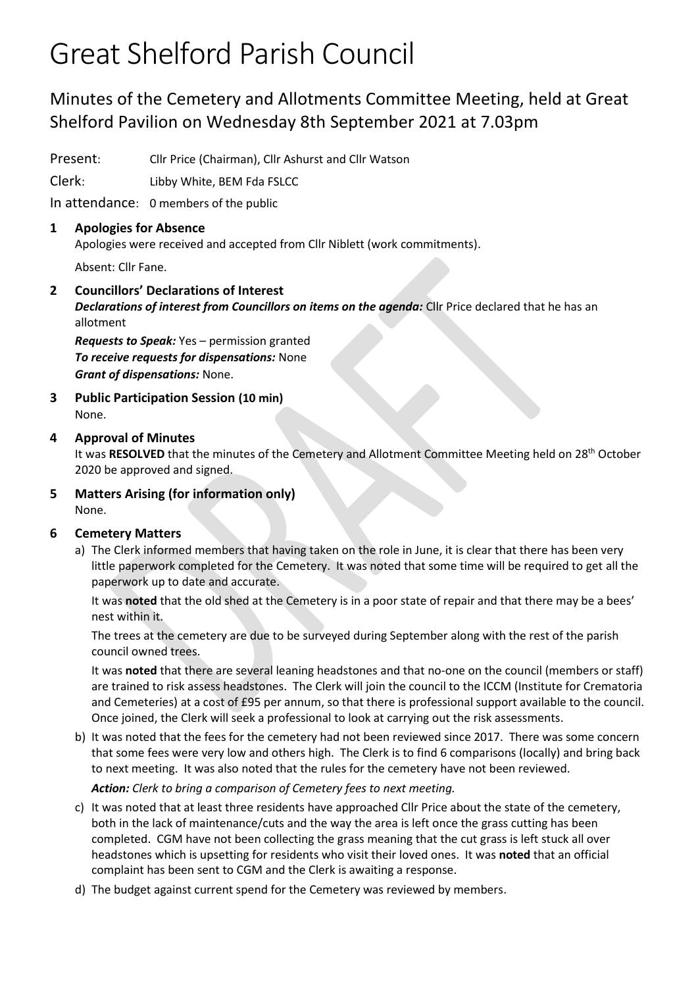# Great Shelford Parish Council

## Minutes of the Cemetery and Allotments Committee Meeting, held at Great Shelford Pavilion on Wednesday 8th September 2021 at 7.03pm

Present: Cllr Price (Chairman), Cllr Ashurst and Cllr Watson

Clerk: Libby White, BEM Fda FSLCC

In attendance: 0 members of the public

#### **1 Apologies for Absence**

Apologies were received and accepted from Cllr Niblett (work commitments).

Absent: Cllr Fane.

### **2 Councillors' Declarations of Interest**

*Declarations of interest from Councillors on items on the agenda:* Cllr Price declared that he has an allotment

*Requests to Speak:* Yes – permission granted *To receive requests for dispensations:* None *Grant of dispensations:* None.

**3 Public Participation Session (10 min)** None.

### **4 Approval of Minutes**

It was **RESOLVED** that the minutes of the Cemetery and Allotment Committee Meeting held on 28th October 2020 be approved and signed.

**5 Matters Arising (for information only)** None.

#### **6 Cemetery Matters**

a) The Clerk informed members that having taken on the role in June, it is clear that there has been very little paperwork completed for the Cemetery. It was noted that some time will be required to get all the paperwork up to date and accurate.

It was **noted** that the old shed at the Cemetery is in a poor state of repair and that there may be a bees' nest within it.

The trees at the cemetery are due to be surveyed during September along with the rest of the parish council owned trees.

It was **noted** that there are several leaning headstones and that no-one on the council (members or staff) are trained to risk assess headstones. The Clerk will join the council to the ICCM (Institute for Crematoria and Cemeteries) at a cost of £95 per annum, so that there is professional support available to the council. Once joined, the Clerk will seek a professional to look at carrying out the risk assessments.

- b) It was noted that the fees for the cemetery had not been reviewed since 2017. There was some concern that some fees were very low and others high. The Clerk is to find 6 comparisons (locally) and bring back to next meeting. It was also noted that the rules for the cemetery have not been reviewed. *Action: Clerk to bring a comparison of Cemetery fees to next meeting.*
- c) It was noted that at least three residents have approached Cllr Price about the state of the cemetery, both in the lack of maintenance/cuts and the way the area is left once the grass cutting has been completed. CGM have not been collecting the grass meaning that the cut grass is left stuck all over headstones which is upsetting for residents who visit their loved ones. It was **noted** that an official complaint has been sent to CGM and the Clerk is awaiting a response.
- d) The budget against current spend for the Cemetery was reviewed by members.